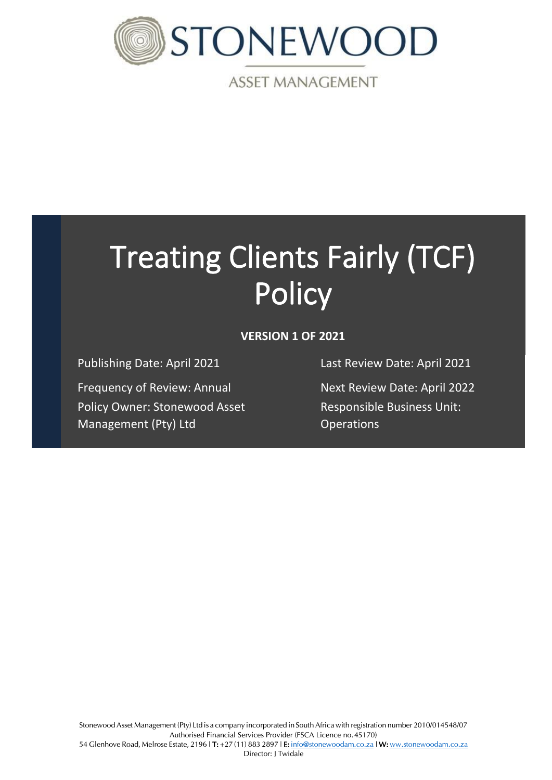

**ASSET MANAGEMENT** 

# Treating Clients Fairly (TCF) **Policy**

# **VERSION 1 OF 2021**

Frequency of Review: Annual Next Review Date: April 2022 Policy Owner: Stonewood Asset Management (Pty) Ltd

Publishing Date: April 2021 Last Review Date: April 2021

Responsible Business Unit: **Operations**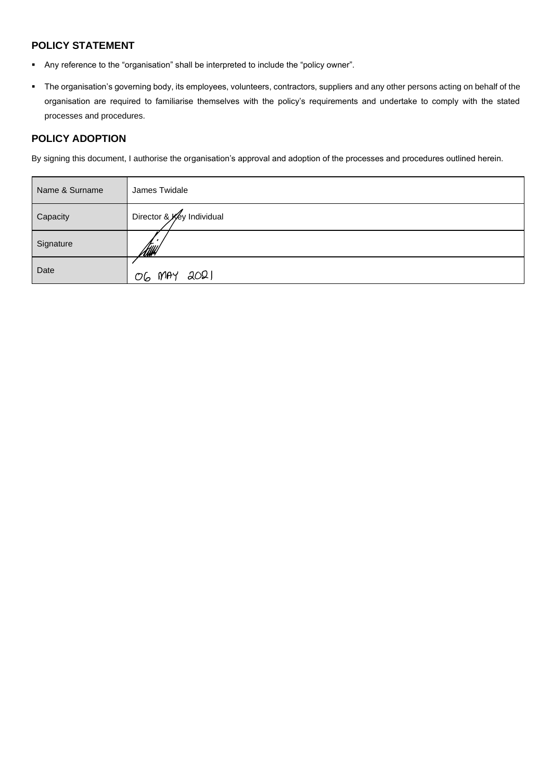## **POLICY STATEMENT**

- Any reference to the "organisation" shall be interpreted to include the "policy owner".
- The organisation's governing body, its employees, volunteers, contractors, suppliers and any other persons acting on behalf of the organisation are required to familiarise themselves with the policy's requirements and undertake to comply with the stated processes and procedures.

## **POLICY ADOPTION**

By signing this document, I authorise the organisation's approval and adoption of the processes and procedures outlined herein.

| Name & Surname | James Twidale             |
|----------------|---------------------------|
| Capacity       | Director & Key Individual |
| Signature      | <u>ftswl</u>              |
| Date           | OG MAY 2021               |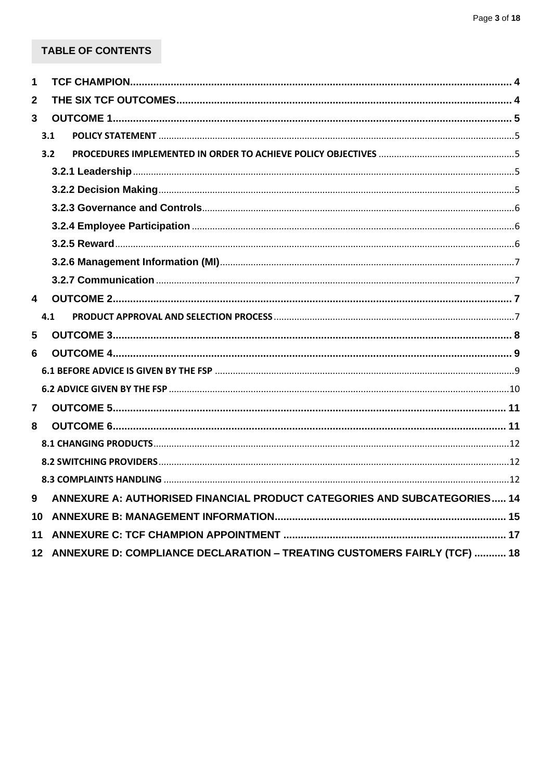# TABLE OF CONTENTS

| 1            |                 |                                                                          |  |
|--------------|-----------------|--------------------------------------------------------------------------|--|
| $\mathbf{2}$ |                 |                                                                          |  |
| $\mathbf{3}$ |                 |                                                                          |  |
|              | 3.1             |                                                                          |  |
|              | 3.2             |                                                                          |  |
|              |                 |                                                                          |  |
|              |                 |                                                                          |  |
|              |                 |                                                                          |  |
|              |                 |                                                                          |  |
|              |                 |                                                                          |  |
|              |                 |                                                                          |  |
|              |                 |                                                                          |  |
| 4            |                 |                                                                          |  |
|              | 4.1             |                                                                          |  |
| 5            |                 |                                                                          |  |
| 6            |                 |                                                                          |  |
|              |                 |                                                                          |  |
|              |                 |                                                                          |  |
| 7            |                 |                                                                          |  |
| 8            |                 |                                                                          |  |
|              |                 |                                                                          |  |
|              |                 |                                                                          |  |
|              |                 |                                                                          |  |
| 9            |                 | ANNEXURE A: AUTHORISED FINANCIAL PRODUCT CATEGORIES AND SUBCATEGORIES 14 |  |
| 10           |                 |                                                                          |  |
| 11           |                 |                                                                          |  |
|              | 12 <sup>1</sup> | ANNEXURE D: COMPLIANCE DECLARATION - TREATING CUSTOMERS FAIRLY (TCF)  18 |  |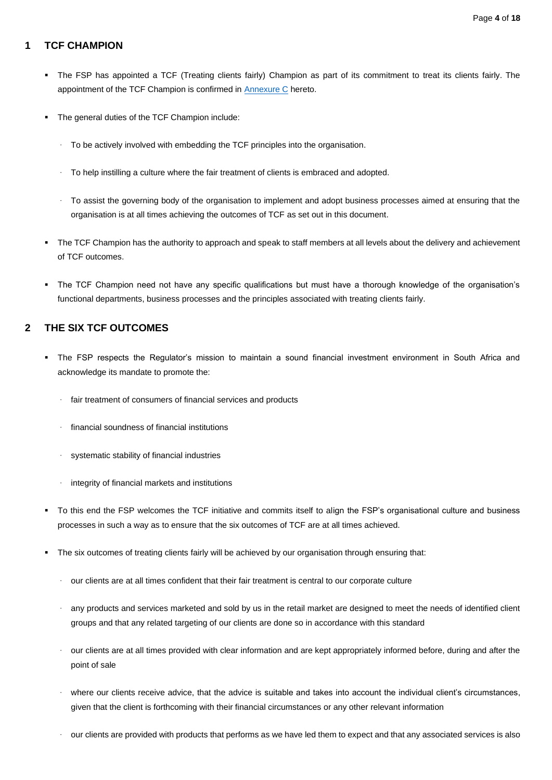## <span id="page-3-0"></span>**1 TCF CHAMPION**

- The FSP has appointed a TCF (Treating clients fairly) Champion as part of its commitment to treat its clients fairly. The appointment of the TCF Champion is confirmed in [Annexure C](#page-16-0) hereto.
- The general duties of the TCF Champion include:
	- To be actively involved with embedding the TCF principles into the organisation.
	- · To help instilling a culture where the fair treatment of clients is embraced and adopted.
	- · To assist the governing body of the organisation to implement and adopt business processes aimed at ensuring that the organisation is at all times achieving the outcomes of TCF as set out in this document.
- The TCF Champion has the authority to approach and speak to staff members at all levels about the delivery and achievement of TCF outcomes.
- The TCF Champion need not have any specific qualifications but must have a thorough knowledge of the organisation's functional departments, business processes and the principles associated with treating clients fairly.

## <span id="page-3-1"></span>**2 THE SIX TCF OUTCOMES**

- The FSP respects the Regulator's mission to maintain a sound financial investment environment in South Africa and acknowledge its mandate to promote the:
	- · fair treatment of consumers of financial services and products
	- · financial soundness of financial institutions
	- systematic stability of financial industries
	- integrity of financial markets and institutions
- To this end the FSP welcomes the TCF initiative and commits itself to align the FSP's organisational culture and business processes in such a way as to ensure that the six outcomes of TCF are at all times achieved.
- The six outcomes of treating clients fairly will be achieved by our organisation through ensuring that:
	- our clients are at all times confident that their fair treatment is central to our corporate culture
	- any products and services marketed and sold by us in the retail market are designed to meet the needs of identified client groups and that any related targeting of our clients are done so in accordance with this standard
	- our clients are at all times provided with clear information and are kept appropriately informed before, during and after the point of sale
	- where our clients receive advice, that the advice is suitable and takes into account the individual client's circumstances, given that the client is forthcoming with their financial circumstances or any other relevant information
	- our clients are provided with products that performs as we have led them to expect and that any associated services is also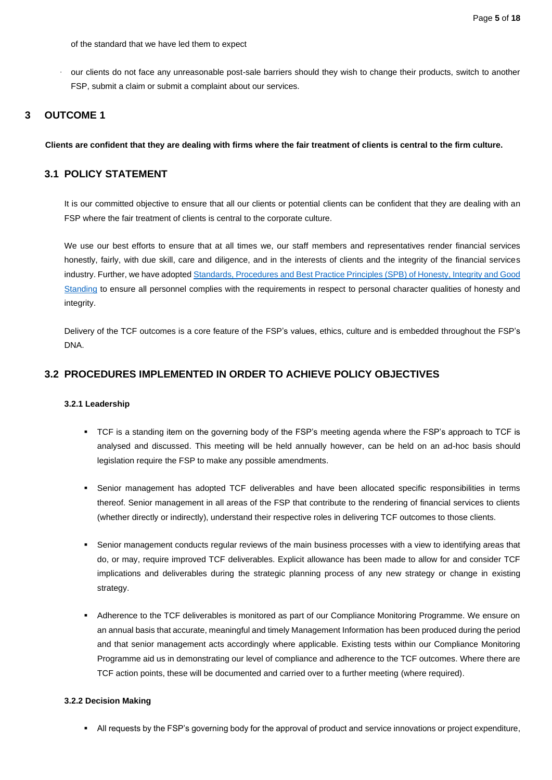of the standard that we have led them to expect

our clients do not face any unreasonable post-sale barriers should they wish to change their products, switch to another FSP, submit a claim or submit a complaint about our services.

#### <span id="page-4-0"></span>**3 OUTCOME 1**

**Clients are confident that they are dealing with firms where the fair treatment of clients is central to the firm culture.**

#### <span id="page-4-1"></span>**3.1 POLICY STATEMENT**

It is our committed objective to ensure that all our clients or potential clients can be confident that they are dealing with an FSP where the fair treatment of clients is central to the corporate culture.

We use our best efforts to ensure that at all times we, our staff members and representatives render financial services honestly, fairly, with due skill, care and diligence, and in the interests of clients and the integrity of the financial services industry. Further, we have adopte[d Standards, Procedures and Best Practice Principles \(SPB\) of Honesty, Integrity and Good](https://stonewoodcapital1.sharepoint.com/:b:/r/sites/StonewoodAM/Shared%20Documents/Operations/Compliance/Templates%20%26%20Legislature/Adopted/01_21%20-%20SAM%20SPB%20Honesty,%20Integrity%20and%20Good%20Standing.pdf?csf=1&web=1&e=uqxJxh)  [Standing](https://stonewoodcapital1.sharepoint.com/:b:/r/sites/StonewoodAM/Shared%20Documents/Operations/Compliance/Templates%20%26%20Legislature/Adopted/01_21%20-%20SAM%20SPB%20Honesty,%20Integrity%20and%20Good%20Standing.pdf?csf=1&web=1&e=uqxJxh) to ensure all personnel complies with the requirements in respect to personal character qualities of honesty and integrity.

Delivery of the TCF outcomes is a core feature of the FSP's values, ethics, culture and is embedded throughout the FSP's DNA.

#### <span id="page-4-3"></span><span id="page-4-2"></span>**3.2 PROCEDURES IMPLEMENTED IN ORDER TO ACHIEVE POLICY OBJECTIVES**

#### **3.2.1 Leadership**

- TCF is a standing item on the governing body of the FSP's meeting agenda where the FSP's approach to TCF is analysed and discussed. This meeting will be held annually however, can be held on an ad-hoc basis should legislation require the FSP to make any possible amendments.
- Senior management has adopted TCF deliverables and have been allocated specific responsibilities in terms thereof. Senior management in all areas of the FSP that contribute to the rendering of financial services to clients (whether directly or indirectly), understand their respective roles in delivering TCF outcomes to those clients.
- Senior management conducts regular reviews of the main business processes with a view to identifying areas that do, or may, require improved TCF deliverables. Explicit allowance has been made to allow for and consider TCF implications and deliverables during the strategic planning process of any new strategy or change in existing strategy.
- Adherence to the TCF deliverables is monitored as part of our Compliance Monitoring Programme. We ensure on an annual basis that accurate, meaningful and timely Management Information has been produced during the period and that senior management acts accordingly where applicable. Existing tests within our Compliance Monitoring Programme aid us in demonstrating our level of compliance and adherence to the TCF outcomes. Where there are TCF action points, these will be documented and carried over to a further meeting (where required).

#### <span id="page-4-4"></span>**3.2.2 Decision Making**

■ All requests by the FSP's governing body for the approval of product and service innovations or project expenditure,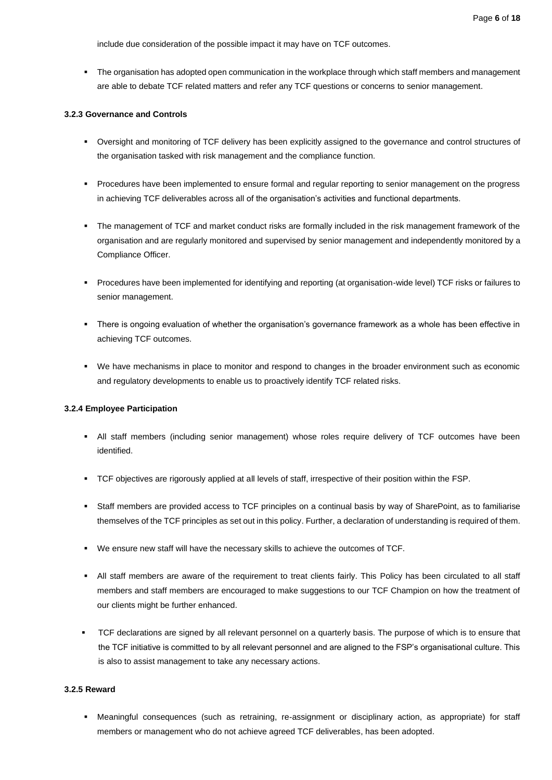include due consideration of the possible impact it may have on TCF outcomes.

▪ The organisation has adopted open communication in the workplace through which staff members and management are able to debate TCF related matters and refer any TCF questions or concerns to senior management.

#### <span id="page-5-0"></span>**3.2.3 Governance and Controls**

- Oversight and monitoring of TCF delivery has been explicitly assigned to the governance and control structures of the organisation tasked with risk management and the compliance function.
- Procedures have been implemented to ensure formal and regular reporting to senior management on the progress in achieving TCF deliverables across all of the organisation's activities and functional departments.
- The management of TCF and market conduct risks are formally included in the risk management framework of the organisation and are regularly monitored and supervised by senior management and independently monitored by a Compliance Officer.
- Procedures have been implemented for identifying and reporting (at organisation-wide level) TCF risks or failures to senior management.
- There is ongoing evaluation of whether the organisation's governance framework as a whole has been effective in achieving TCF outcomes.
- We have mechanisms in place to monitor and respond to changes in the broader environment such as economic and regulatory developments to enable us to proactively identify TCF related risks.

#### <span id="page-5-1"></span>**3.2.4 Employee Participation**

- **•** All staff members (including senior management) whose roles require delivery of TCF outcomes have been identified.
- TCF objectives are rigorously applied at all levels of staff, irrespective of their position within the FSP.
- Staff members are provided access to TCF principles on a continual basis by way of SharePoint, as to familiarise themselves of the TCF principles as set out in this policy. Further, a declaration of understanding is required of them.
- We ensure new staff will have the necessary skills to achieve the outcomes of TCF.
- All staff members are aware of the requirement to treat clients fairly. This Policy has been circulated to all staff members and staff members are encouraged to make suggestions to our TCF Champion on how the treatment of our clients might be further enhanced.
- TCF declarations are signed by all relevant personnel on a quarterly basis. The purpose of which is to ensure that the TCF initiative is committed to by all relevant personnel and are aligned to the FSP's organisational culture. This is also to assist management to take any necessary actions.

#### <span id="page-5-2"></span>**3.2.5 Reward**

▪ Meaningful consequences (such as retraining, re-assignment or disciplinary action, as appropriate) for staff members or management who do not achieve agreed TCF deliverables, has been adopted.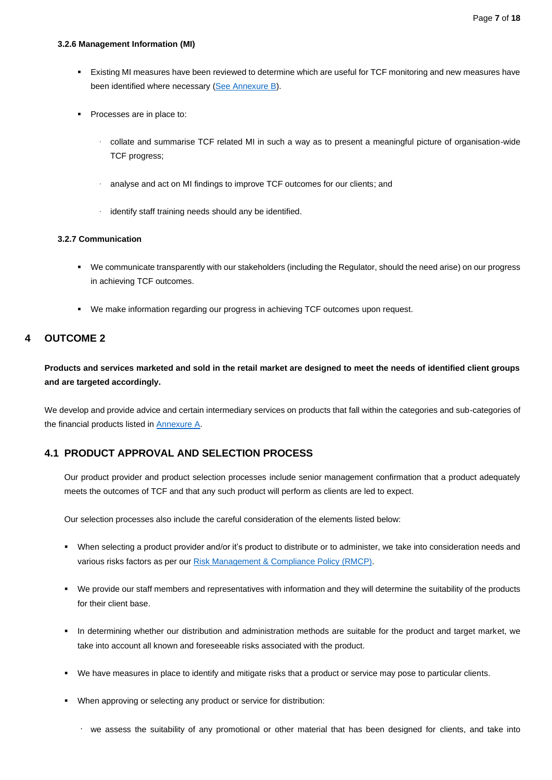#### <span id="page-6-0"></span>**3.2.6 Management Information (MI)**

- Existing MI measures have been reviewed to determine which are useful for TCF monitoring and new measures have been identified where necessary [\(See Annexure B\)](#page-14-0).
- Processes are in place to:
	- · collate and summarise TCF related MI in such a way as to present a meaningful picture of organisation-wide TCF progress;
	- analyse and act on MI findings to improve TCF outcomes for our clients; and
	- · identify staff training needs should any be identified.

#### <span id="page-6-1"></span>**3.2.7 Communication**

- We communicate transparently with our stakeholders (including the Regulator, should the need arise) on our progress in achieving TCF outcomes.
- We make information regarding our progress in achieving TCF outcomes upon request.

#### <span id="page-6-2"></span>**4 OUTCOME 2**

**Products and services marketed and sold in the retail market are designed to meet the needs of identified client groups and are targeted accordingly.**

We develop and provide advice and certain intermediary services on products that fall within the categories and sub-categories of the financial products listed in [Annexure A.](#page-13-0)

#### <span id="page-6-3"></span>**4.1 PRODUCT APPROVAL AND SELECTION PROCESS**

Our product provider and product selection processes include senior management confirmation that a product adequately meets the outcomes of TCF and that any such product will perform as clients are led to expect.

Our selection processes also include the careful consideration of the elements listed below:

- When selecting a product provider and/or it's product to distribute or to administer, we take into consideration needs and various risks factors as per ou[r Risk Management & Compliance Policy \(RMCP\).](https://stonewoodcapital1.sharepoint.com/:b:/r/sites/StonewoodAM/Shared%20Documents/Operations/Compliance/Templates%20%26%20Legislature/Adopted/FICA/01_21%20-%20SAM%20AML_CTF%20RMCP.pdf?csf=1&web=1&e=9SSh66)
- We provide our staff members and representatives with information and they will determine the suitability of the products for their client base.
- In determining whether our distribution and administration methods are suitable for the product and target market, we take into account all known and foreseeable risks associated with the product.
- We have measures in place to identify and mitigate risks that a product or service may pose to particular clients.
- When approving or selecting any product or service for distribution:
	- · we assess the suitability of any promotional or other material that has been designed for clients, and take into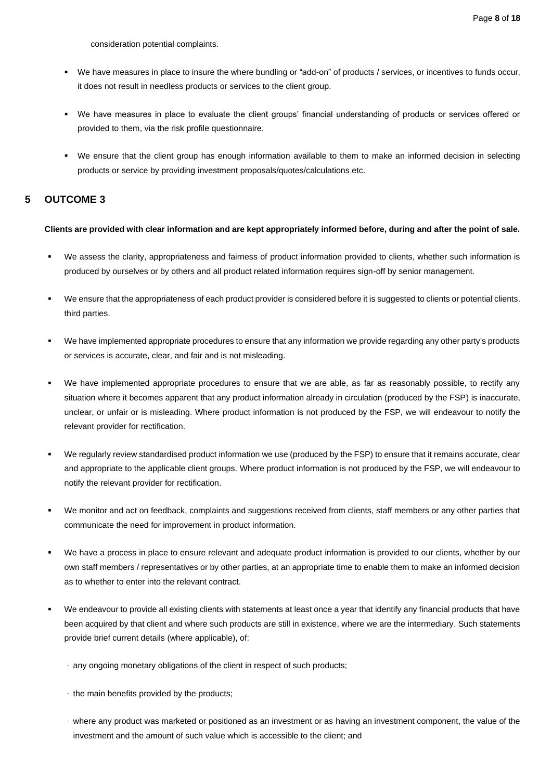consideration potential complaints.

- We have measures in place to insure the where bundling or "add-on" of products / services, or incentives to funds occur, it does not result in needless products or services to the client group.
- We have measures in place to evaluate the client groups' financial understanding of products or services offered or provided to them, via the risk profile questionnaire.
- We ensure that the client group has enough information available to them to make an informed decision in selecting products or service by providing investment proposals/quotes/calculations etc.

#### <span id="page-7-0"></span>**5 OUTCOME 3**

#### **Clients are provided with clear information and are kept appropriately informed before, during and after the point of sale.**

- We assess the clarity, appropriateness and fairness of product information provided to clients, whether such information is produced by ourselves or by others and all product related information requires sign-off by senior management.
- We ensure that the appropriateness of each product provider is considered before it is suggested to clients or potential clients. third parties.
- We have implemented appropriate procedures to ensure that any information we provide regarding any other party's products or services is accurate, clear, and fair and is not misleading.
- We have implemented appropriate procedures to ensure that we are able, as far as reasonably possible, to rectify any situation where it becomes apparent that any product information already in circulation (produced by the FSP) is inaccurate, unclear, or unfair or is misleading. Where product information is not produced by the FSP, we will endeavour to notify the relevant provider for rectification.
- We regularly review standardised product information we use (produced by the FSP) to ensure that it remains accurate, clear and appropriate to the applicable client groups. Where product information is not produced by the FSP, we will endeavour to notify the relevant provider for rectification.
- We monitor and act on feedback, complaints and suggestions received from clients, staff members or any other parties that communicate the need for improvement in product information.
- We have a process in place to ensure relevant and adequate product information is provided to our clients, whether by our own staff members / representatives or by other parties, at an appropriate time to enable them to make an informed decision as to whether to enter into the relevant contract.
- We endeavour to provide all existing clients with statements at least once a year that identify any financial products that have been acquired by that client and where such products are still in existence, where we are the intermediary. Such statements provide brief current details (where applicable), of:
	- · any ongoing monetary obligations of the client in respect of such products;
	- · the main benefits provided by the products;
	- · where any product was marketed or positioned as an investment or as having an investment component, the value of the investment and the amount of such value which is accessible to the client; and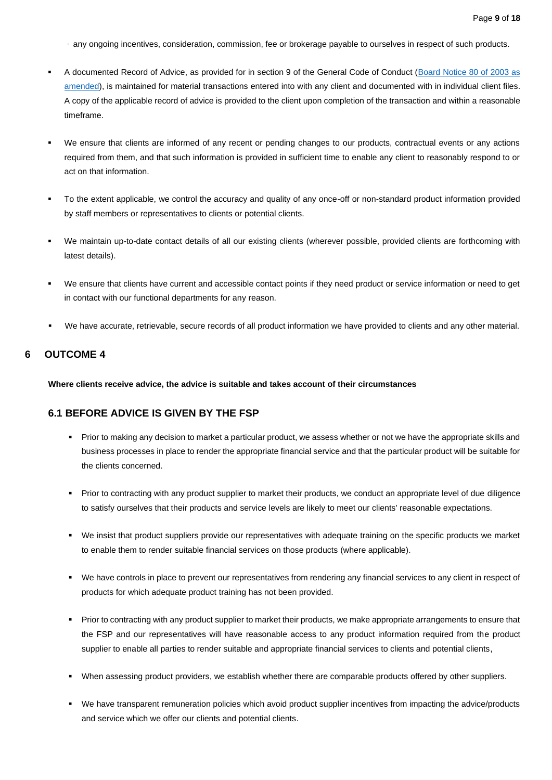· any ongoing incentives, consideration, commission, fee or brokerage payable to ourselves in respect of such products.

- A documented Record of Advice, as provided for in section 9 of the General Code of Conduct (Board Notice 80 of 2003 as [amended\)](https://stonewoodcapital1.sharepoint.com/:b:/r/sites/StonewoodAM/Shared%20Documents/Operations/Compliance/Templates%20%26%20Legislature/Board%20Notice%2080%20of%202003.pdf?csf=1&web=1&e=sLmy5b), is maintained for material transactions entered into with any client and documented with in individual client files. A copy of the applicable record of advice is provided to the client upon completion of the transaction and within a reasonable timeframe.
- We ensure that clients are informed of any recent or pending changes to our products, contractual events or any actions required from them, and that such information is provided in sufficient time to enable any client to reasonably respond to or act on that information.
- To the extent applicable, we control the accuracy and quality of any once-off or non-standard product information provided by staff members or representatives to clients or potential clients.
- We maintain up-to-date contact details of all our existing clients (wherever possible, provided clients are forthcoming with latest details).
- We ensure that clients have current and accessible contact points if they need product or service information or need to get in contact with our functional departments for any reason.
- We have accurate, retrievable, secure records of all product information we have provided to clients and any other material.

#### <span id="page-8-0"></span>**6 OUTCOME 4**

**Where clients receive advice, the advice is suitable and takes account of their circumstances**

#### <span id="page-8-1"></span>**6.1 BEFORE ADVICE IS GIVEN BY THE FSP**

- Prior to making any decision to market a particular product, we assess whether or not we have the appropriate skills and business processes in place to render the appropriate financial service and that the particular product will be suitable for the clients concerned.
- Prior to contracting with any product supplier to market their products, we conduct an appropriate level of due diligence to satisfy ourselves that their products and service levels are likely to meet our clients' reasonable expectations.
- We insist that product suppliers provide our representatives with adequate training on the specific products we market to enable them to render suitable financial services on those products (where applicable).
- We have controls in place to prevent our representatives from rendering any financial services to any client in respect of products for which adequate product training has not been provided.
- Prior to contracting with any product supplier to market their products, we make appropriate arrangements to ensure that the FSP and our representatives will have reasonable access to any product information required from the product supplier to enable all parties to render suitable and appropriate financial services to clients and potential clients,
- When assessing product providers, we establish whether there are comparable products offered by other suppliers.
- We have transparent remuneration policies which avoid product supplier incentives from impacting the advice/products and service which we offer our clients and potential clients.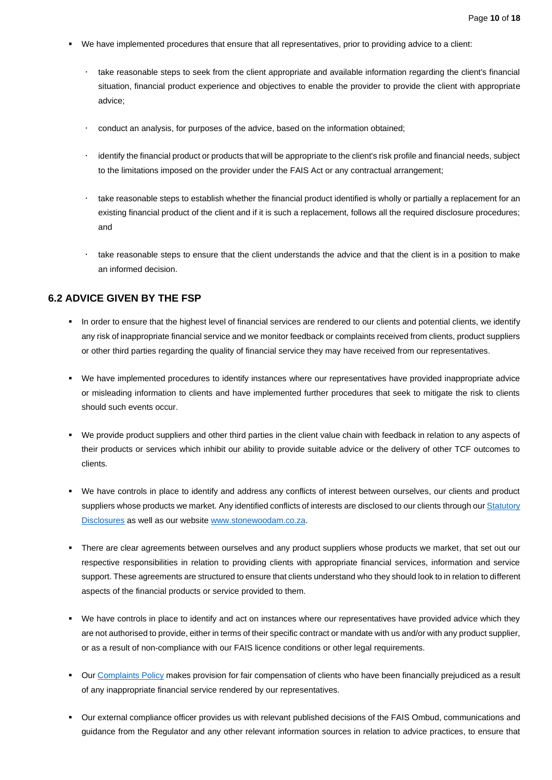- We have implemented procedures that ensure that all representatives, prior to providing advice to a client:
	- take reasonable steps to seek from the client appropriate and available information regarding the client's financial situation, financial product experience and objectives to enable the provider to provide the client with appropriate advice;
	- conduct an analysis, for purposes of the advice, based on the information obtained;
	- identify the financial product or products that will be appropriate to the client's risk profile and financial needs, subject to the limitations imposed on the provider under the FAIS Act or any contractual arrangement;
	- take reasonable steps to establish whether the financial product identified is wholly or partially a replacement for an existing financial product of the client and if it is such a replacement, follows all the required disclosure procedures; and
	- take reasonable steps to ensure that the client understands the advice and that the client is in a position to make an informed decision.

#### <span id="page-9-0"></span>**6.2 ADVICE GIVEN BY THE FSP**

- In order to ensure that the highest level of financial services are rendered to our clients and potential clients, we identify any risk of inappropriate financial service and we monitor feedback or complaints received from clients, product suppliers or other third parties regarding the quality of financial service they may have received from our representatives.
- We have implemented procedures to identify instances where our representatives have provided inappropriate advice or misleading information to clients and have implemented further procedures that seek to mitigate the risk to clients should such events occur.
- We provide product suppliers and other third parties in the client value chain with feedback in relation to any aspects of their products or services which inhibit our ability to provide suitable advice or the delivery of other TCF outcomes to clients.
- We have controls in place to identify and address any conflicts of interest between ourselves, our clients and product suppliers whose products we market. Any identified conflicts of interests are disclosed to our clients through our Statutory [Disclosures](https://stonewoodcapital1.sharepoint.com/:b:/r/sites/StonewoodAM/Shared%20Documents/Operations/Compliance/3.%20Consulting/Regulatory%20Disclosures/Disclosures%202021/SAM%20-%20Statutory%20Disclosure%20(V1%20of%202021).pdf?csf=1&web=1&e=NliDol) as well as our websit[e www.stonewoodam.co.za.](https://www.stonewoodam.co.za/legal-info)
- " There are clear agreements between ourselves and any product suppliers whose products we market, that set out our respective responsibilities in relation to providing clients with appropriate financial services, information and service support. These agreements are structured to ensure that clients understand who they should look to in relation to different aspects of the financial products or service provided to them.
- We have controls in place to identify and act on instances where our representatives have provided advice which they are not authorised to provide, either in terms of their specific contract or mandate with us and/or with any product supplier, or as a result of non-compliance with our FAIS licence conditions or other legal requirements.
- **•** Our [Complaints](https://stonewoodcapital1.sharepoint.com/:b:/r/sites/StonewoodAM/Shared%20Documents/Operations/Compliance/Templates%20%26%20Legislature/Adopted/Complaints/Stonewood%20AM%20-%20Complaints%20Policy%20(V1%20of%202020).pdf?csf=1&web=1&e=acqN2A) Policy makes provision for fair compensation of clients who have been financially prejudiced as a result of any inappropriate financial service rendered by our representatives.
- Our external compliance officer provides us with relevant published decisions of the FAIS Ombud, communications and guidance from the Regulator and any other relevant information sources in relation to advice practices, to ensure that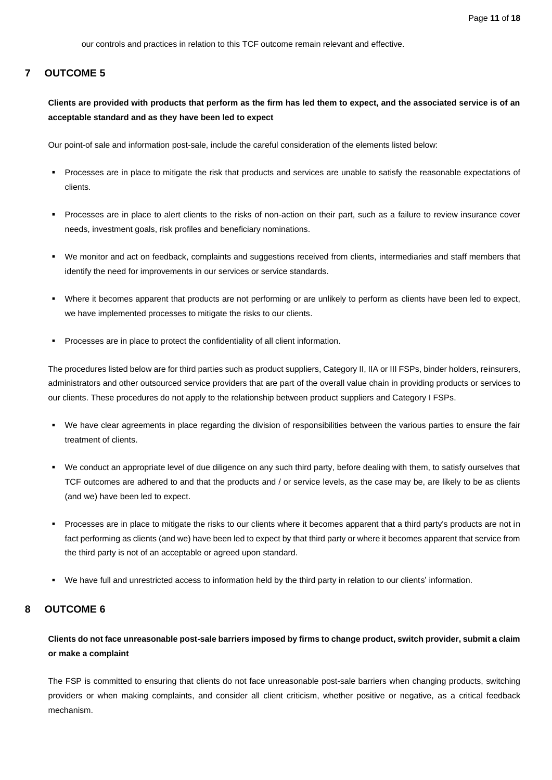our controls and practices in relation to this TCF outcome remain relevant and effective.

#### <span id="page-10-0"></span>**7 OUTCOME 5**

**Clients are provided with products that perform as the firm has led them to expect, and the associated service is of an acceptable standard and as they have been led to expect**

Our point-of sale and information post-sale, include the careful consideration of the elements listed below:

- Processes are in place to mitigate the risk that products and services are unable to satisfy the reasonable expectations of clients.
- Processes are in place to alert clients to the risks of non-action on their part, such as a failure to review insurance cover needs, investment goals, risk profiles and beneficiary nominations.
- We monitor and act on feedback, complaints and suggestions received from clients, intermediaries and staff members that identify the need for improvements in our services or service standards.
- Where it becomes apparent that products are not performing or are unlikely to perform as clients have been led to expect, we have implemented processes to mitigate the risks to our clients.
- Processes are in place to protect the confidentiality of all client information.

The procedures listed below are for third parties such as product suppliers, Category II, IIA or III FSPs, binder holders, reinsurers, administrators and other outsourced service providers that are part of the overall value chain in providing products or services to our clients. These procedures do not apply to the relationship between product suppliers and Category I FSPs.

- We have clear agreements in place regarding the division of responsibilities between the various parties to ensure the fair treatment of clients.
- We conduct an appropriate level of due diligence on any such third party, before dealing with them, to satisfy ourselves that TCF outcomes are adhered to and that the products and / or service levels, as the case may be, are likely to be as clients (and we) have been led to expect.
- Processes are in place to mitigate the risks to our clients where it becomes apparent that a third party's products are not in fact performing as clients (and we) have been led to expect by that third party or where it becomes apparent that service from the third party is not of an acceptable or agreed upon standard.
- We have full and unrestricted access to information held by the third party in relation to our clients' information.

#### <span id="page-10-1"></span>**8 OUTCOME 6**

#### **Clients do not face unreasonable post-sale barriers imposed by firms to change product, switch provider, submit a claim or make a complaint**

The FSP is committed to ensuring that clients do not face unreasonable post-sale barriers when changing products, switching providers or when making complaints, and consider all client criticism, whether positive or negative, as a critical feedback mechanism.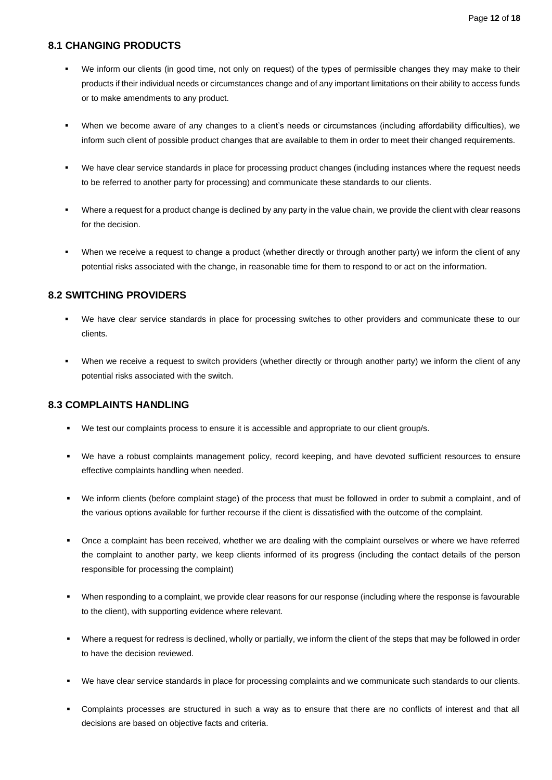#### <span id="page-11-0"></span>**8.1 CHANGING PRODUCTS**

- We inform our clients (in good time, not only on request) of the types of permissible changes they may make to their products if their individual needs or circumstances change and of any important limitations on their ability to access funds or to make amendments to any product.
- When we become aware of any changes to a client's needs or circumstances (including affordability difficulties), we inform such client of possible product changes that are available to them in order to meet their changed requirements.
- We have clear service standards in place for processing product changes (including instances where the request needs to be referred to another party for processing) and communicate these standards to our clients.
- Where a request for a product change is declined by any party in the value chain, we provide the client with clear reasons for the decision.
- When we receive a request to change a product (whether directly or through another party) we inform the client of any potential risks associated with the change, in reasonable time for them to respond to or act on the information.

#### <span id="page-11-1"></span>**8.2 SWITCHING PROVIDERS**

- We have clear service standards in place for processing switches to other providers and communicate these to our clients.
- When we receive a request to switch providers (whether directly or through another party) we inform the client of any potential risks associated with the switch.

#### <span id="page-11-2"></span>**8.3 COMPLAINTS HANDLING**

- We test our complaints process to ensure it is accessible and appropriate to our client group/s.
- We have a robust complaints management policy, record keeping, and have devoted sufficient resources to ensure effective complaints handling when needed.
- We inform clients (before complaint stage) of the process that must be followed in order to submit a complaint, and of the various options available for further recourse if the client is dissatisfied with the outcome of the complaint.
- Once a complaint has been received, whether we are dealing with the complaint ourselves or where we have referred the complaint to another party, we keep clients informed of its progress (including the contact details of the person responsible for processing the complaint)
- When responding to a complaint, we provide clear reasons for our response (including where the response is favourable to the client), with supporting evidence where relevant.
- Where a request for redress is declined, wholly or partially, we inform the client of the steps that may be followed in order to have the decision reviewed.
- We have clear service standards in place for processing complaints and we communicate such standards to our clients.
- Complaints processes are structured in such a way as to ensure that there are no conflicts of interest and that all decisions are based on objective facts and criteria.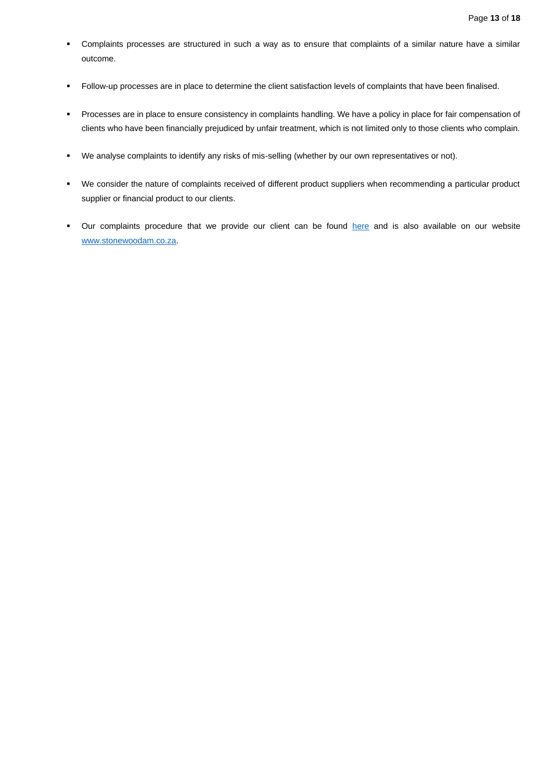- Complaints processes are structured in such a way as to ensure that complaints of a similar nature have a similar outcome.
- Follow-up processes are in place to determine the client satisfaction levels of complaints that have been finalised.
- Processes are in place to ensure consistency in complaints handling. We have a policy in place for fair compensation of clients who have been financially prejudiced by unfair treatment, which is not limited only to those clients who complain.
- We analyse complaints to identify any risks of mis-selling (whether by our own representatives or not).
- We consider the nature of complaints received of different product suppliers when recommending a particular product supplier or financial product to our clients.
- **•** Our complaints procedure that we provide our client can be found [here](https://stonewoodcapital1.sharepoint.com/:b:/r/sites/StonewoodAM/Shared%20Documents/Operations/Compliance/Templates%20%26%20Legislature/Adopted/Complaints/Stonewood%20AM%20-%20Complainant%20Procedure%20Communication%20(V1%20of%202020).pdf?csf=1&web=1&e=7Thgkz) and is also available on our website [www.stonewoodam.co.za.](https://www.stonewoodam.co.za/legal-info)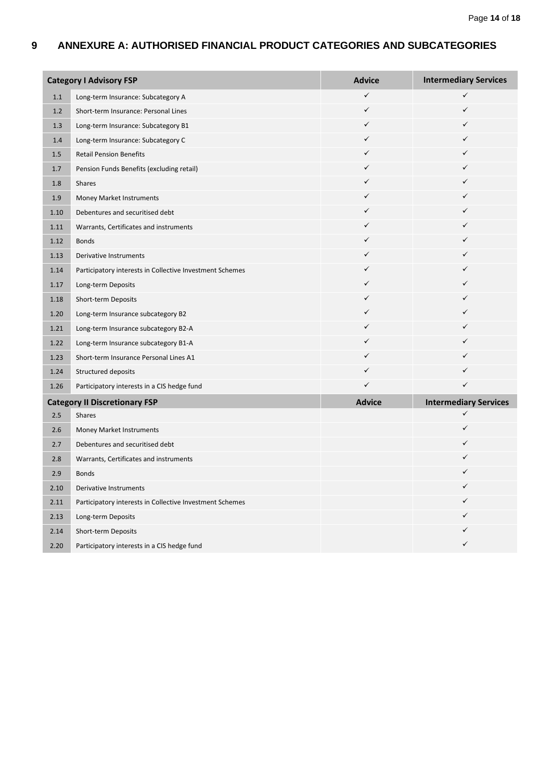## <span id="page-13-0"></span>**9 ANNEXURE A: AUTHORISED FINANCIAL PRODUCT CATEGORIES AND SUBCATEGORIES**

| <b>Category I Advisory FSP</b> |                                                          | <b>Advice</b> | <b>Intermediary Services</b> |
|--------------------------------|----------------------------------------------------------|---------------|------------------------------|
| 1.1                            | Long-term Insurance: Subcategory A                       | ✓             | ✓                            |
| 1.2                            | Short-term Insurance: Personal Lines                     | ✓             | ✓                            |
| 1.3                            | Long-term Insurance: Subcategory B1                      | ✓             | ✓                            |
| 1.4                            | Long-term Insurance: Subcategory C                       | ✓             | ✓                            |
| 1.5                            | <b>Retail Pension Benefits</b>                           | ✓             | ✓                            |
| 1.7                            | Pension Funds Benefits (excluding retail)                | ✓             | ✓                            |
| 1.8                            | Shares                                                   | ✓             | ✓                            |
| 1.9                            | Money Market Instruments                                 | ✓             |                              |
| 1.10                           | Debentures and securitised debt                          | ✓             | ✓                            |
| 1.11                           | Warrants, Certificates and instruments                   | ✓             | ✓                            |
| 1.12                           | <b>Bonds</b>                                             | ✓             | ✓                            |
| 1.13                           | <b>Derivative Instruments</b>                            | ✓             | ✓                            |
| 1.14                           | Participatory interests in Collective Investment Schemes | ✓             | ✓                            |
| 1.17                           | Long-term Deposits                                       | ✓             | ✓                            |
| 1.18                           | Short-term Deposits                                      | ✓             | ✓                            |
| 1.20                           | Long-term Insurance subcategory B2                       | ✓             | ✓                            |
| 1.21                           | Long-term Insurance subcategory B2-A                     | ✓             | ✓                            |
| 1.22                           | Long-term Insurance subcategory B1-A                     | ✓             | ✓                            |
| 1.23                           | Short-term Insurance Personal Lines A1                   | ✓             | ✓                            |
| 1.24                           | Structured deposits                                      | ✓             | ✓                            |
| 1.26                           | Participatory interests in a CIS hedge fund              | ✓             | ✓                            |
|                                | <b>Category II Discretionary FSP</b>                     | <b>Advice</b> | <b>Intermediary Services</b> |
| 2.5                            | Shares                                                   |               | ✓                            |
| 2.6                            | Money Market Instruments                                 |               | ✓                            |
| 2.7                            | Debentures and securitised debt                          |               | ✓                            |
| 2.8                            | Warrants, Certificates and instruments                   |               | ✓                            |
| 2.9                            | <b>Bonds</b>                                             |               | ✓                            |
| 2.10                           | Derivative Instruments                                   |               |                              |
| 2.11                           | Participatory interests in Collective Investment Schemes |               |                              |
| 2.13                           | Long-term Deposits                                       |               | ✓                            |
| 2.14                           | Short-term Deposits                                      |               | ✓                            |
| 2.20                           | Participatory interests in a CIS hedge fund              |               | ✓                            |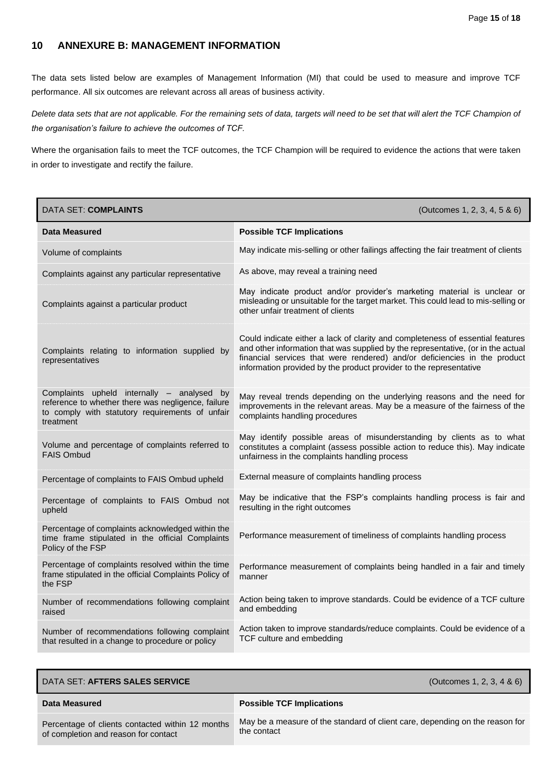## <span id="page-14-0"></span>**10 ANNEXURE B: MANAGEMENT INFORMATION**

The data sets listed below are examples of Management Information (MI) that could be used to measure and improve TCF performance. All six outcomes are relevant across all areas of business activity.

*Delete data sets that are not applicable. For the remaining sets of data, targets will need to be set that will alert the TCF Champion of the organisation's failure to achieve the outcomes of TCF.*

Where the organisation fails to meet the TCF outcomes, the TCF Champion will be required to evidence the actions that were taken in order to investigate and rectify the failure.

| <b>DATA SET: COMPLAINTS</b>                                                                                                                                      | (Outcomes 1, 2, 3, 4, 5 & 6)                                                                                                                                                                                                                                                                                          |
|------------------------------------------------------------------------------------------------------------------------------------------------------------------|-----------------------------------------------------------------------------------------------------------------------------------------------------------------------------------------------------------------------------------------------------------------------------------------------------------------------|
| <b>Data Measured</b>                                                                                                                                             | <b>Possible TCF Implications</b>                                                                                                                                                                                                                                                                                      |
| Volume of complaints                                                                                                                                             | May indicate mis-selling or other failings affecting the fair treatment of clients                                                                                                                                                                                                                                    |
| Complaints against any particular representative                                                                                                                 | As above, may reveal a training need                                                                                                                                                                                                                                                                                  |
| Complaints against a particular product                                                                                                                          | May indicate product and/or provider's marketing material is unclear or<br>misleading or unsuitable for the target market. This could lead to mis-selling or<br>other unfair treatment of clients                                                                                                                     |
| Complaints relating to information supplied by<br>representatives                                                                                                | Could indicate either a lack of clarity and completeness of essential features<br>and other information that was supplied by the representative, (or in the actual<br>financial services that were rendered) and/or deficiencies in the product<br>information provided by the product provider to the representative |
| Complaints upheld internally - analysed by<br>reference to whether there was negligence, failure<br>to comply with statutory requirements of unfair<br>treatment | May reveal trends depending on the underlying reasons and the need for<br>improvements in the relevant areas. May be a measure of the fairness of the<br>complaints handling procedures                                                                                                                               |
| Volume and percentage of complaints referred to<br><b>FAIS Ombud</b>                                                                                             | May identify possible areas of misunderstanding by clients as to what<br>constitutes a complaint (assess possible action to reduce this). May indicate<br>unfairness in the complaints handling process                                                                                                               |
| Percentage of complaints to FAIS Ombud upheld                                                                                                                    | External measure of complaints handling process                                                                                                                                                                                                                                                                       |
| Percentage of complaints to FAIS Ombud not<br>upheld                                                                                                             | May be indicative that the FSP's complaints handling process is fair and<br>resulting in the right outcomes                                                                                                                                                                                                           |
| Percentage of complaints acknowledged within the<br>time frame stipulated in the official Complaints<br>Policy of the FSP                                        | Performance measurement of timeliness of complaints handling process                                                                                                                                                                                                                                                  |
| Percentage of complaints resolved within the time<br>frame stipulated in the official Complaints Policy of<br>the FSP                                            | Performance measurement of complaints being handled in a fair and timely<br>manner                                                                                                                                                                                                                                    |
| Number of recommendations following complaint<br>raised                                                                                                          | Action being taken to improve standards. Could be evidence of a TCF culture<br>and embedding                                                                                                                                                                                                                          |
| Number of recommendations following complaint<br>that resulted in a change to procedure or policy                                                                | Action taken to improve standards/reduce complaints. Could be evidence of a<br>TCF culture and embedding                                                                                                                                                                                                              |

| DATA SET: AFTERS SALES SERVICE                                                           | (Outcomes 1, 2, 3, 4 & 6)                                                                   |
|------------------------------------------------------------------------------------------|---------------------------------------------------------------------------------------------|
| Data Measured                                                                            | <b>Possible TCF Implications</b>                                                            |
| Percentage of clients contacted within 12 months<br>of completion and reason for contact | May be a measure of the standard of client care, depending on the reason for<br>the contact |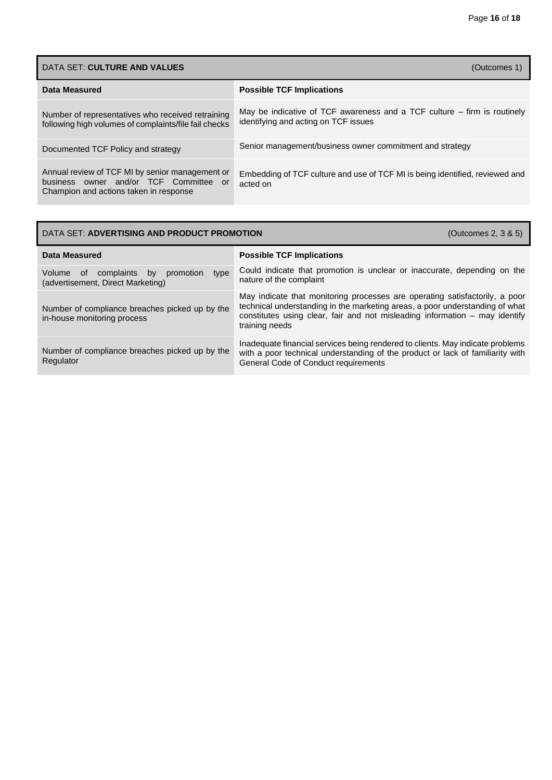| DATA SET: CULTURE AND VALUES<br>(Outcomes 1)                                                                                        |                                                                                                                    |
|-------------------------------------------------------------------------------------------------------------------------------------|--------------------------------------------------------------------------------------------------------------------|
| Data Measured                                                                                                                       | <b>Possible TCF Implications</b>                                                                                   |
| Number of representatives who received retraining<br>following high volumes of complaints/file fail checks                          | May be indicative of TCF awareness and a TCF culture $-$ firm is routinely<br>identifying and acting on TCF issues |
| Documented TCF Policy and strategy                                                                                                  | Senior management/business owner commitment and strategy                                                           |
| Annual review of TCF MI by senior management or<br>business owner and/or TCF Committee or<br>Champion and actions taken in response | Embedding of TCF culture and use of TCF MI is being identified, reviewed and<br>acted on                           |

## DATA SET: **ADVERTISING AND PRODUCT PROMOTION** (Outcomes 2, 3 & 5)

| Data Measured                                                                              | <b>Possible TCF Implications</b>                                                                                                                                                                                                                             |
|--------------------------------------------------------------------------------------------|--------------------------------------------------------------------------------------------------------------------------------------------------------------------------------------------------------------------------------------------------------------|
| type<br>Volume<br>complaints<br>promotion<br>of<br>by<br>(advertisement, Direct Marketing) | Could indicate that promotion is unclear or inaccurate, depending on the<br>nature of the complaint                                                                                                                                                          |
| Number of compliance breaches picked up by the<br>in-house monitoring process              | May indicate that monitoring processes are operating satisfactorily, a poor<br>technical understanding in the marketing areas, a poor understanding of what<br>constitutes using clear, fair and not misleading information – may identify<br>training needs |
| Number of compliance breaches picked up by the<br>Regulator                                | Inadequate financial services being rendered to clients. May indicate problems<br>with a poor technical understanding of the product or lack of familiarity with<br>General Code of Conduct requirements                                                     |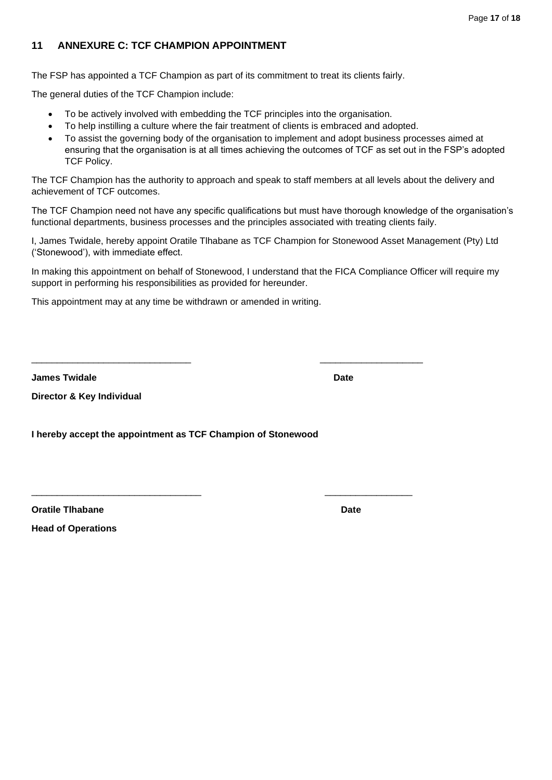## <span id="page-16-0"></span>**11 ANNEXURE C: TCF CHAMPION APPOINTMENT**

The FSP has appointed a TCF Champion as part of its commitment to treat its clients fairly.

The general duties of the TCF Champion include:

- To be actively involved with embedding the TCF principles into the organisation.
- To help instilling a culture where the fair treatment of clients is embraced and adopted.

\_\_\_\_\_\_\_\_\_\_\_\_\_\_\_\_\_\_\_\_\_\_\_\_\_\_\_\_\_\_\_ \_\_\_\_\_\_\_\_\_\_\_\_\_\_\_\_\_\_\_\_

\_\_\_\_\_\_\_\_\_\_\_\_\_\_\_\_\_\_\_\_\_\_\_\_\_\_\_\_\_\_\_\_\_ \_\_\_\_\_\_\_\_\_\_\_\_\_\_\_\_\_

• To assist the governing body of the organisation to implement and adopt business processes aimed at ensuring that the organisation is at all times achieving the outcomes of TCF as set out in the FSP's adopted TCF Policy.

The TCF Champion has the authority to approach and speak to staff members at all levels about the delivery and achievement of TCF outcomes.

The TCF Champion need not have any specific qualifications but must have thorough knowledge of the organisation's functional departments, business processes and the principles associated with treating clients faily.

I, James Twidale, hereby appoint Oratile Tlhabane as TCF Champion for Stonewood Asset Management (Pty) Ltd ('Stonewood'), with immediate effect.

In making this appointment on behalf of Stonewood, I understand that the FICA Compliance Officer will require my support in performing his responsibilities as provided for hereunder.

This appointment may at any time be withdrawn or amended in writing.

**James Twidale Date**

**Director & Key Individual** 

**I hereby accept the appointment as TCF Champion of Stonewood**

**Oratile Tihabane Date** Date Date Date Date Date Date Date

**Head of Operations**